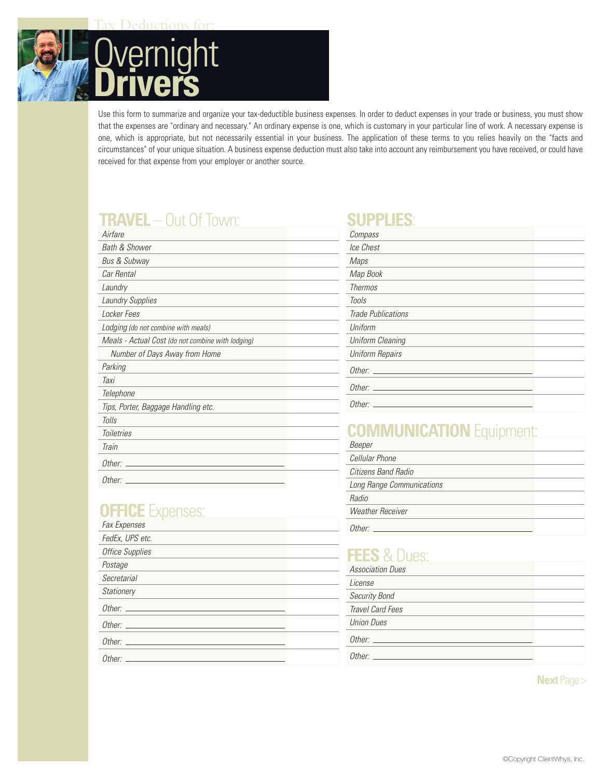

Use this form to summarize and organize your tax-deductible business expenses. In order to deduct expenses in your trade or business, you must show that the expenses are "ordinary and necessary." An ordinary expense is one, which is customary in your particular line of work. A necessary expense is one, which is appropriate, but not necessarily essential in your business. The application of these terms to you relies heavily on the "facts and circumstances" of your unique situation. A business expense deduction must also take into account any reimbursement you have received, or could have received for that expense from your employer or another source.

### **TRAVEL** – Out Of Town:

| Airfare                                           |  |
|---------------------------------------------------|--|
| <b>Bath &amp; Shower</b>                          |  |
| Bus & Subway                                      |  |
| Car Rental                                        |  |
| Laundry                                           |  |
| <b>Laundry Supplies</b>                           |  |
| Locker Fees                                       |  |
| Lodging (do not combine with meals)               |  |
| Meals - Actual Cost (do not combine with lodging) |  |
| Number of Days Away from Home                     |  |
| Parking                                           |  |
| Taxi                                              |  |
| Telephone                                         |  |
| Tips, Porter, Baggage Handling etc.               |  |
| Tolls                                             |  |
| <b>Toiletries</b>                                 |  |
| Train                                             |  |
| Other:                                            |  |
| Other:                                            |  |

### **OFFICE** Expenses:

| <b>Fax Expenses</b>                                                                                                                                                                                                            |  |
|--------------------------------------------------------------------------------------------------------------------------------------------------------------------------------------------------------------------------------|--|
| FedEx, UPS etc.                                                                                                                                                                                                                |  |
| <b>Office Supplies</b>                                                                                                                                                                                                         |  |
| Postage                                                                                                                                                                                                                        |  |
| Secretarial                                                                                                                                                                                                                    |  |
| <b>Stationery</b>                                                                                                                                                                                                              |  |
|                                                                                                                                                                                                                                |  |
|                                                                                                                                                                                                                                |  |
|                                                                                                                                                                                                                                |  |
| Other: contract the contract of the contract of the contract of the contract of the contract of the contract of the contract of the contract of the contract of the contract of the contract of the contract of the contract o |  |
|                                                                                                                                                                                                                                |  |

### **SUPPLIES**:

| Compass                 |  |
|-------------------------|--|
| Ice Chest               |  |
| Maps                    |  |
| Map Book                |  |
| <b>Thermos</b>          |  |
| <b>Tools</b>            |  |
| Trade Publications      |  |
| Uniform                 |  |
| <b>Uniform Cleaning</b> |  |
| <b>Uniform Repairs</b>  |  |
| Other:                  |  |
|                         |  |
| Other:                  |  |

# **COMMUNICATION** Equipment:

| Beeper                    |  |
|---------------------------|--|
| Cellular Phone            |  |
| Citizens Band Radio       |  |
| Long Range Communications |  |
| Radin                     |  |
| <b>Weather Receiver</b>   |  |
| n <sub>ther</sub>         |  |
|                           |  |

## **FEES** & Dues:

| <b>Association Dues</b> |  |
|-------------------------|--|
| License                 |  |
| Security Bond           |  |
| Travel Card Fees        |  |
| <b>Union Dues</b>       |  |
| Other:                  |  |
| Other <sup>-</sup>      |  |

**Next** Page >